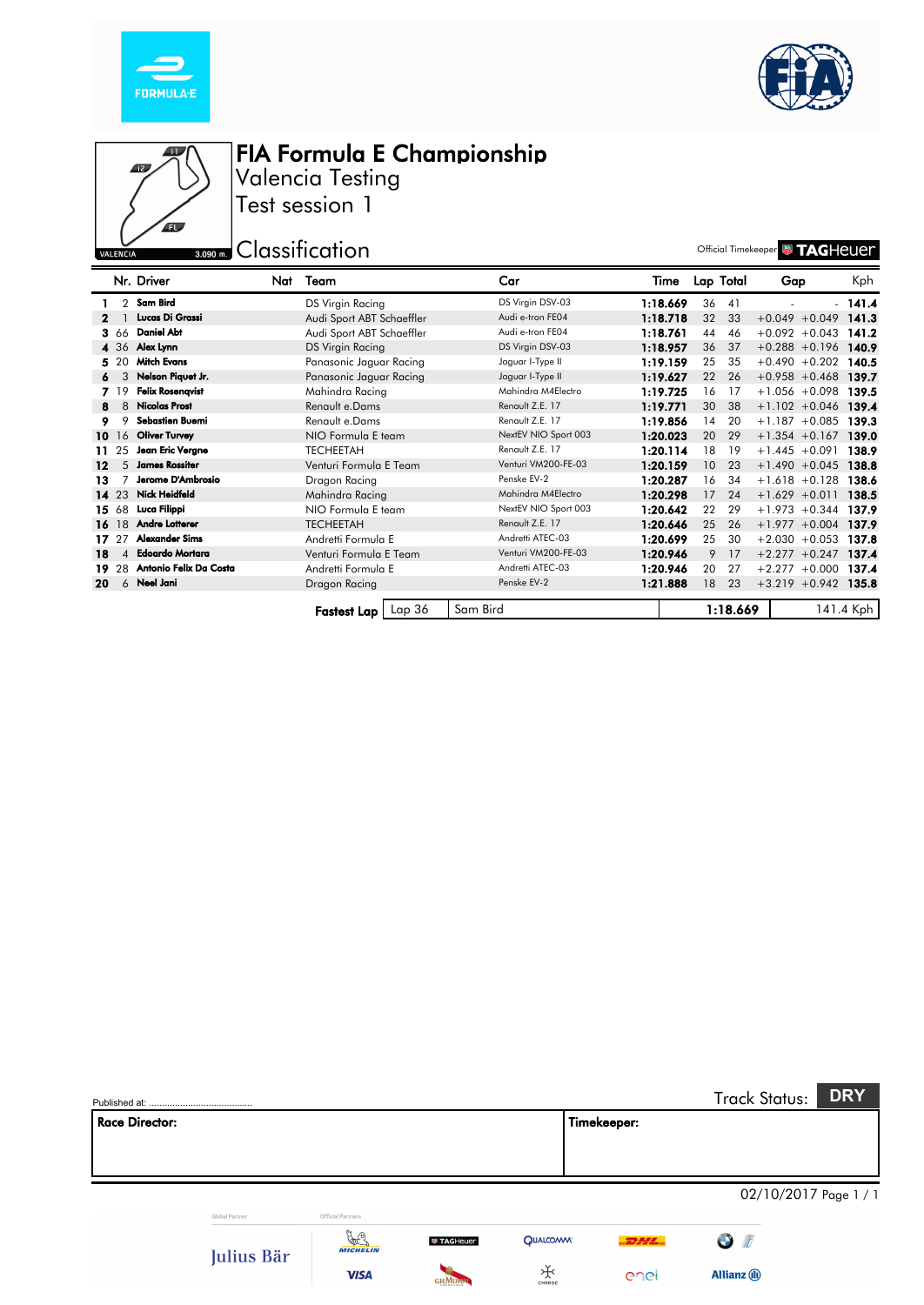





Valencia Testing Test session 1

**Example 2018** Suppose the Classification of the Classification of the Classification of the Classification of the Classification of the Classification of the Classification of the Classification of the Classification of t

|      |       | Nr. Driver              | Nat | Team                      | Car                 |                      | Time     |                 | Lap Total | Gap                    | Kph       |
|------|-------|-------------------------|-----|---------------------------|---------------------|----------------------|----------|-----------------|-----------|------------------------|-----------|
|      |       | 2 Sam Bird              |     | DS Virgin Racing          | DS Virgin DSV-03    |                      | 1:18.669 | 36              | 41        |                        | $-141.4$  |
|      |       | Lucas Di Grassi         |     | Audi Sport ABT Schaeffler | Audi e-tron FE04    |                      | 1:18.718 | 32              | 33        | $+0.049 + 0.049$       | 141.3     |
|      | 3.66  | <b>Daniel Abt</b>       |     | Audi Sport ABT Schaeffler | Audi e-tron FE04    |                      | 1:18.761 | 44              | 46        | $+0.092 + 0.043$       | 141.2     |
|      |       | 4 36 Alex Lynn          |     | DS Virgin Racing          | DS Virgin DSV-03    |                      | 1:18.957 | 36              | 37        | $+0.288 + 0.196$       | 140.9     |
|      | 5 20  | <b>Mitch Evans</b>      |     | Panasonic Jaguar Racing   | Jaguar I-Type II    |                      | 1:19.159 | 25              | 35        | $+0.490 +0.202$        | 140.5     |
| 6.   | 3     | Nelson Piquet Jr.       |     | Panasonic Jaguar Racing   | Jaguar I-Type II    |                      | 1:19.627 | 22              | 26        | $+0.958 + 0.468$       | 139.7     |
|      | 7 19  | <b>Felix Rosenqvist</b> |     | Mahindra Racing           | Mahindra M4Electro  |                      | 1:19.725 | 16              | 17        | $+1.056 + 0.098$       | 139.5     |
| 8    | 8     | <b>Nicolas Prost</b>    |     | Renault e.Dams            | Renault Z.E. 17     |                      | 1:19.771 | 30              | 38        | $+1.102 +0.046$        | 139.4     |
|      | 9     | <b>Sebastien Buemi</b>  |     | Renault e.Dams            | Renault Z.E. 17     |                      | 1:19.856 | 14              | 20        | $+1.187 + 0.085$       | 139.3     |
|      | 10 16 | <b>Oliver Turvey</b>    |     | NIO Formula E team        |                     | NextEV NIO Sport 003 | 1:20.023 | 20              | 29        | $+1.354 +0.167$        | 139.0     |
|      | 11 25 | Jean Eric Verane        |     | <b>TECHEETAH</b>          | Renault Z.E. 17     |                      | 1:20.114 | 18              | 19        | $+1.445 +0.091$        | 138.9     |
| 12   | 5     | <b>James Rossiter</b>   |     | Venturi Formula E Team    | Venturi VM200-FE-03 |                      | 1:20.159 | 10 <sup>°</sup> | 23        | $+1.490 + 0.045$       | 138.8     |
| 13   |       | Jerome D'Ambrosio       |     | Dragon Racing             | Penske EV-2         |                      | 1:20.287 | 16              | 34        | $+1.618 + 0.128$       | 138.6     |
|      | 14 23 | <b>Nick Heidfeld</b>    |     | Mahindra Racing           | Mahindra M4Electro  |                      | 1:20.298 | 17              | 24        | $+1.629 +0.011$        | 138.5     |
|      | 15 68 | Luca Filippi            |     | NIO Formula E team        |                     | NextEV NIO Sport 003 | 1:20.642 | 22              | 29        | $+1.973 + 0.344$       | 137.9     |
|      | 16 18 | <b>Andre Lotterer</b>   |     | <b>TECHEETAH</b>          | Renault Z.E. 17     |                      | 1:20.646 | 25              | 26        | $+1.977 +0.004$        | 137.9     |
| 1722 |       | <b>Alexander Sims</b>   |     | Andretti Formula E        | Andretti ATEC-03    |                      | 1:20.699 | 25              | 30        | $+2.030 + 0.053$       | 137.8     |
| 18   | 4     | <b>Edoardo Mortara</b>  |     | Venturi Formula E Team    | Venturi VM200-FE-03 |                      | 1:20.946 | 9               | 17        | $+2.277 +0.247$        | 137.4     |
|      | 19 28 | Antonio Felix Da Costa  |     | Andretti Formula E        | Andretti ATEC-03    |                      | 1:20.946 | 20              | 27        | $+2.277 + 0.000$       | 137.4     |
| 20   |       | 6 Neel Jani             |     | Dragon Racing             | Penske EV-2         |                      | 1:21.888 | 18              | 23        | $+3.219 + 0.942$ 135.8 |           |
|      |       |                         |     |                           |                     |                      |          |                 |           |                        |           |
|      |       |                         |     | Lap36<br>Fastest Lap I    | Sam Bird            |                      |          |                 | 1:18.669  |                        | 141.4 Kph |

|                       |                |                       |                 |                 |             | <b>Track Status:</b>     | <b>DRY</b>            |
|-----------------------|----------------|-----------------------|-----------------|-----------------|-------------|--------------------------|-----------------------|
| <b>Race Director:</b> |                |                       |                 |                 | Timekeeper: |                          |                       |
|                       |                |                       |                 |                 |             |                          |                       |
|                       |                |                       |                 |                 |             |                          | 02/10/2017 Page 1 / 1 |
|                       | Global Partner | Official Partners     |                 |                 |             |                          |                       |
|                       | Julius Bär     | y.<br><b>MICHELIN</b> | <b>TAGHeuer</b> | <b>QUALCOWW</b> | <b>DHL</b>  | $\bigodot$<br>$\sqrt{2}$ |                       |
|                       |                | <b>VISA</b>           | <b>GHMUM</b>    | 沃<br>CHARGE     | enel        | <b>Allianz</b> (i)       |                       |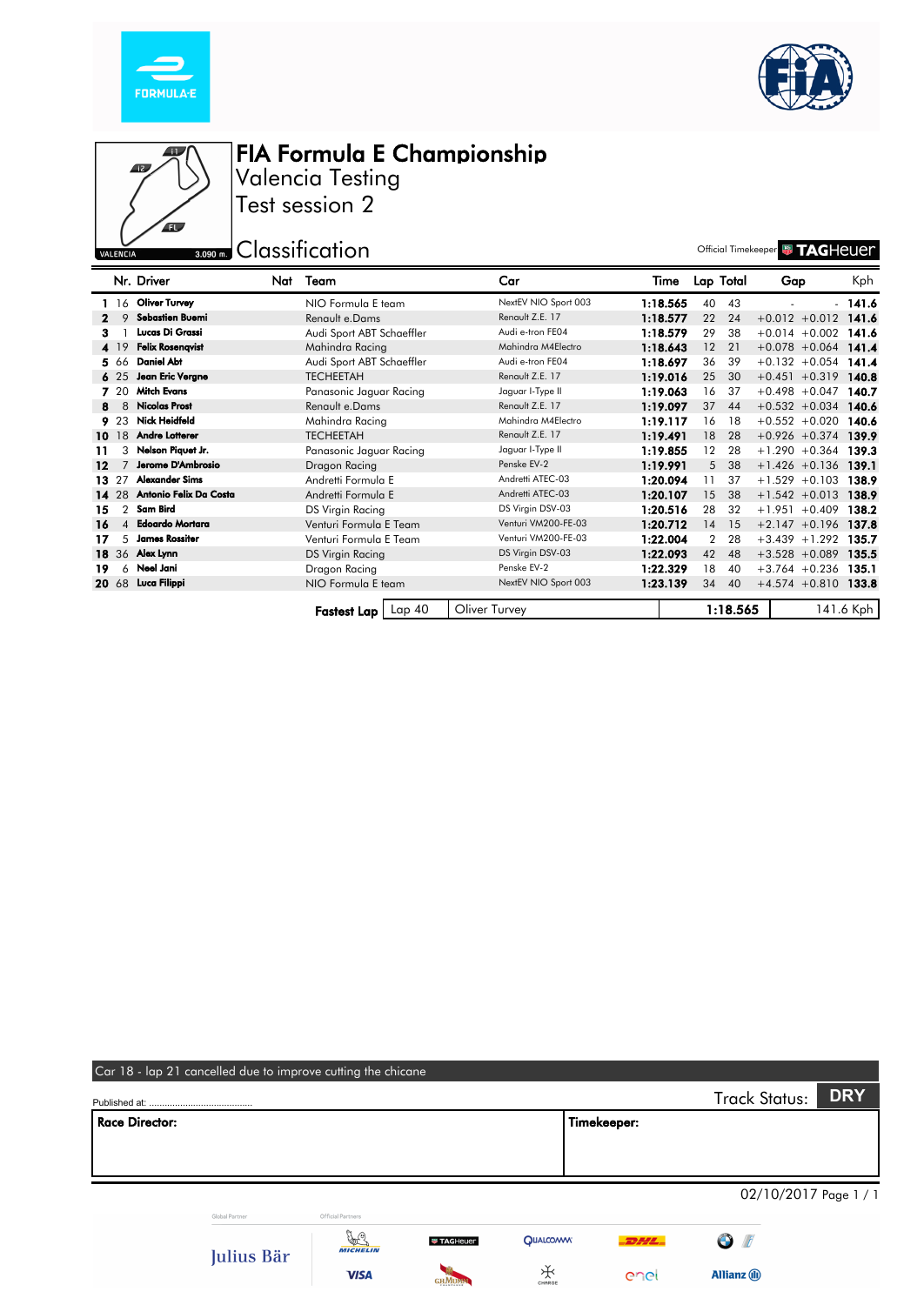





Valencia Testing Test session 2

3.090 m. Classification Classification and the Classification official Timekeeper **With TAGHEUE** 

|       |                | Nr. Driver              | Nat | Team                      | Car                  | Time     |                 | Lap Total | Gap                    | Kph       |
|-------|----------------|-------------------------|-----|---------------------------|----------------------|----------|-----------------|-----------|------------------------|-----------|
|       |                | 16 Oliver Turvey        |     | NIO Formula E team        | NextEV NIO Sport 003 | 1:18.565 | 40              | 43        |                        | $-141.6$  |
|       | 9              | <b>Sebastien Buemi</b>  |     | Renault e.Dams            | Renault Z.E. 17      | 1:18.577 | 22              | 24        | $+0.012 +0.012$        | 141.6     |
|       |                | Lucas Di Grassi         |     | Audi Sport ABT Schaeffler | Audi e-tron FE04     | 1:18.579 | 29              | 38        | $+0.014 + 0.002$       | 141.6     |
|       | <b>4</b> 19    | <b>Felix Rosenqvist</b> |     | Mahindra Racing           | Mahindra M4Electro   | 1:18.643 | 12              | 21        | $+0.078 + 0.064$ 141.4 |           |
|       | 566            | Daniel Abt              |     | Audi Sport ABT Schaeffler | Audi e-tron FE04     | 1:18.697 | 36              | 39        | $+0.132 + 0.054$       | 141.4     |
|       | 625            | Jean Eric Vergne        |     | <b>TECHEETAH</b>          | Renault Z.E. 17      | 1:19.016 | 25              | 30        | $+0.451 + 0.319$       | 140.8     |
|       | 7 20           | <b>Mitch Evans</b>      |     | Panasonic Jaguar Racing   | Jaguar I-Type II     | 1:19.063 | 16              | 37        | $+0.498 + 0.047$       | 140.7     |
| 8     | 8              | <b>Nicolas Prost</b>    |     | Renault e.Dams            | Renault Z.E. 17      | 1:19.097 | 37              | 44        | $+0.532 + 0.034$       | 140.6     |
|       | 9.23           | <b>Nick Heidfeld</b>    |     | Mahindra Racing           | Mahindra M4Electro   | 1:19.117 | 16              | 18        | $+0.552 + 0.020$       | 140.6     |
|       | 10 18          | <b>Andre Lotterer</b>   |     | <b>TECHEETAH</b>          | Renault Z.E. 17      | 1:19.491 | 18              | 28        | $+0.926 +0.374$ 139.9  |           |
| 11    | 3              | Nelson Piquet Jr.       |     | Panasonic Jaguar Racing   | Jaguar I-Type II     | 1:19.855 | 12 <sup>°</sup> | 28        | $+1.290 +0.364$        | 139.3     |
| 12    |                | Jerome D'Ambrosio       |     | Dragon Racing             | Penske EV-2          | 1:19.991 | 5               | 38        | $+1.426 +0.136$        | 139.1     |
| 13 27 |                | <b>Alexander Sims</b>   |     | Andretti Formula E        | Andretti ATEC-03     | 1:20.094 | 11              | 37        | $+1.529 + 0.103$       | 138.9     |
|       | 14 28          | Antonio Felix Da Costa  |     | Andretti Formula E        | Andretti ATEC-03     | 1:20.107 | 15              | 38        | $+1.542 + 0.013$       | 138.9     |
| 15    | $\overline{2}$ | Sam Bird                |     | DS Virgin Racing          | DS Virgin DSV-03     | 1:20.516 | 28              | 32        | $+1.951 + 0.409$       | 138.2     |
| 16    |                | 4 Edoardo Mortara       |     | Venturi Formula E Team    | Venturi VM200-FE-03  | 1:20.712 | 14              | 15        | $+2.147 + 0.196$       | 137.8     |
| 17    | 5              | <b>James Rossiter</b>   |     | Venturi Formula E Team    | Venturi VM200-FE-03  | 1:22.004 | $\overline{2}$  | 28        | $+3.439 + 1.292$       | 135.7     |
|       |                | 18 36 Alex Lynn         |     | DS Virgin Racing          | DS Virgin DSV-03     | 1:22.093 | 42              | 48        | $+3.528 + 0.089$       | 135.5     |
| 19    | 6              | Neel Jani               |     | Dragon Racing             | Penske EV-2          | 1:22.329 | 18              | 40        | $+3.764 + 0.236$       | 135.1     |
|       |                | 20 68 Luca Filippi      |     | NIO Formula E team        | NextEV NIO Sport 003 | 1:23.139 | 34              | 40        | $+4.574 +0.810$ 133.8  |           |
|       |                |                         |     |                           |                      |          |                 |           |                        |           |
|       |                |                         |     | $Lap$ 40<br>Fastest Lap I | Oliver Turvey        |          |                 | 1:18.565  |                        | 141.6 Kph |

|                       | Car 18 - lap 21 cancelled due to improve cutting the chicane |                            |                   |                 |             |                         |                       |
|-----------------------|--------------------------------------------------------------|----------------------------|-------------------|-----------------|-------------|-------------------------|-----------------------|
|                       |                                                              |                            |                   |                 |             | <b>Track Status:</b>    | <b>DRY</b>            |
| <b>Race Director:</b> |                                                              |                            |                   |                 | Timekeeper: |                         |                       |
|                       |                                                              |                            |                   |                 |             |                         |                       |
|                       |                                                              |                            |                   |                 |             |                         |                       |
|                       |                                                              |                            |                   |                 |             |                         | 02/10/2017 Page 1 / 1 |
|                       | Global Partner                                               | Official Partners          |                   |                 |             |                         |                       |
|                       | Julius Bär                                                   | y.<br>Y<br><b>MICHELIN</b> | <b>W TAGHeuer</b> | <b>QUALCOMM</b> | $-22444$    | $\bullet$<br>$\sqrt{t}$ |                       |
|                       |                                                              | <b>VISA</b>                |                   | ₩<br>CHARGE     | enel        | <b>Allianz</b> (ii)     |                       |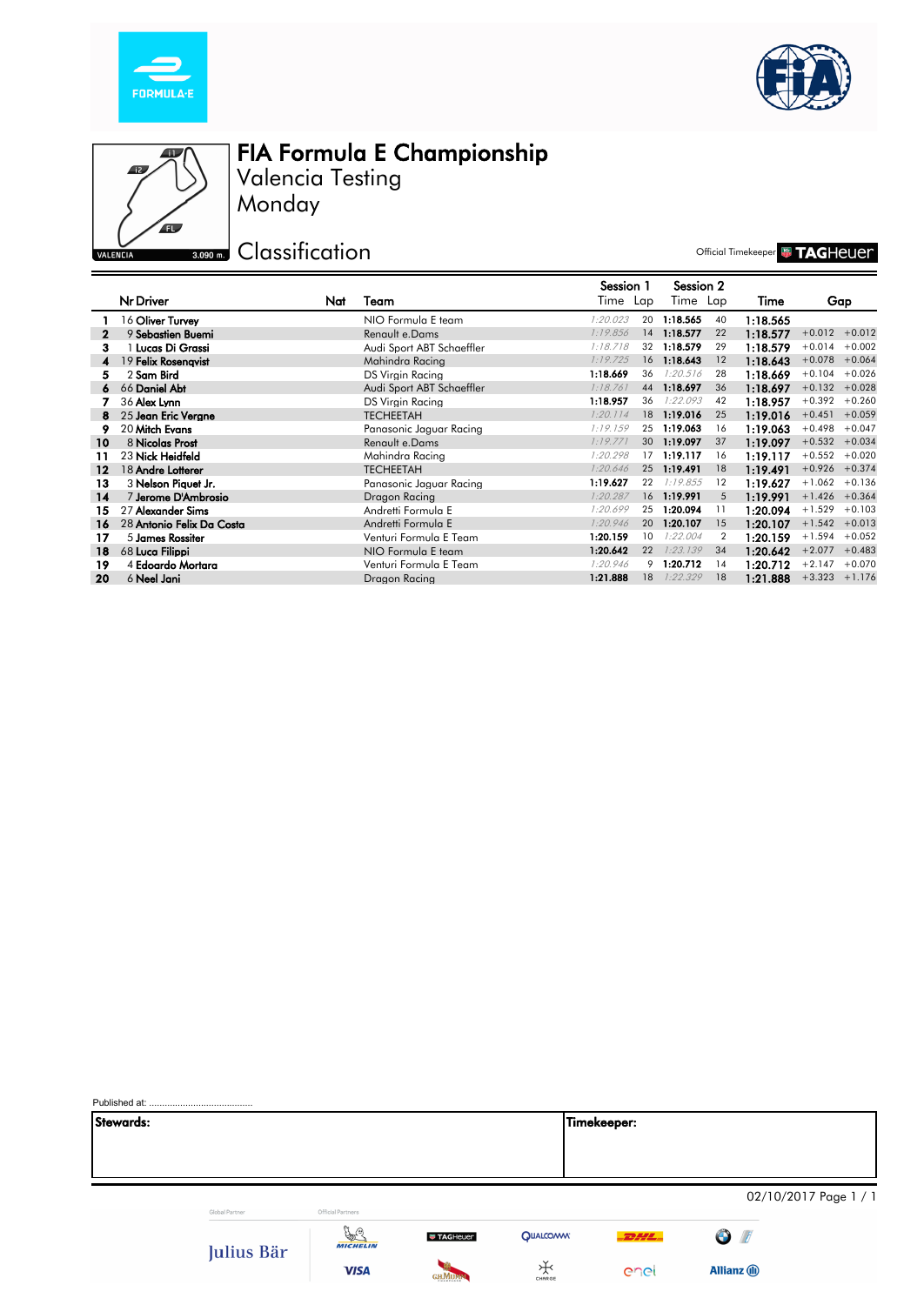





Monday Valencia Testing

**BOBO EXP** Classification

Official Timekeeper **& TAGHEUE** 

|         |                           |     |                           | Session 1 |    | Session 2   |    |          |                  |          |
|---------|---------------------------|-----|---------------------------|-----------|----|-------------|----|----------|------------------|----------|
|         | Nr Driver                 | Nat | Team                      | Time Lap  |    | Time Lap    |    | Time     |                  | Gap      |
|         | 16 Oliver Turvey          |     | NIO Formula E team        | 1:20.023  | 20 | 1:18.565    | 40 | 1:18.565 |                  |          |
| 2       | 9 Sebastien Buemi         |     | Renault e.Dams            | 1:19.856  | 14 | 1:18.577    | 22 | 1:18.577 | $+0.012 +0.012$  |          |
| з.      | Lucas Di Grassi           |     | Audi Sport ABT Schaeffler | 1:18.718  | 32 | 1:18.579    | 29 | 1:18.579 | $+0.014$         | $+0.002$ |
|         | 19 Felix Rosengvist       |     | Mahindra Racing           | 1:19.725  | 16 | 1:18.643    | 12 | 1:18.643 | $+0.078$         | $+0.064$ |
| 5.      | 2 Sam Bird                |     | DS Virain Racina          | 1:18.669  | 36 | 1:20.516    | 28 | 1:18.669 | $+0.104$         | $+0.026$ |
| 6       | 66 Daniel Abt             |     | Audi Sport ABT Schaeffler | 7:18.761  | 44 | 1:18.697    | 36 | 1:18.697 | $+0.132$         | $+0.028$ |
|         | 36 Alex Lynn              |     | DS Virain Racina          | 1:18.957  | 36 | 1:22.093    | 42 | 1:18.957 | $+0.392 +0.260$  |          |
| 8.      | 25 Jean Eric Verane       |     | <b>TECHEETAH</b>          | 1:20.114  |    | 18 1:19.016 | 25 | 1:19.016 | $+0.451 + 0.059$ |          |
|         | 20 Mitch Evans            |     | Panasonic Jaguar Racing   | 1:19.159  | 25 | 1:19.063    | 16 | 1:19.063 | $+0.498$         | $+0.047$ |
| 10      | 8 Nicolas Prost           |     | Renault e.Dams            | 7:19.771  | 30 | 1:19.097    | 37 | 1:19.097 | $+0.532 + 0.034$ |          |
| 11      | 23 Nick Heidfeld          |     | Mahindra Racing           | 1:20.298  | 17 | 1:19.117    | 16 | 1:19.117 | $+0.552$         | $+0.020$ |
| $12 \,$ | 18 Andre Lotterer         |     | <b>TECHEETAH</b>          | 1:20.646  | 25 | 1:19.491    | 18 | 1:19.491 | $+0.926$         | $+0.374$ |
| 13      | 3 Nelson Piauet Jr.       |     | Panasonic Jaauar Racina   | 1:19.627  | 22 | 1:19.855    | 12 | 1:19.627 | $+1.062$         | $+0.136$ |
| 14      | 7 Jerome D'Ambrosio       |     | Dragon Racing             | 1:20.287  |    | 16 1:19.991 | 5  | 1:19.991 | $+1.426 + 0.364$ |          |
| 15      | 27 Alexander Sims         |     | Andretti Formula E        | 1:20.699  | 25 | 1:20.094    | 11 | 1:20.094 | $+1.529$         | $+0.103$ |
| 16      | 28 Antonio Felix Da Costa |     | Andretti Formula E        | 1:20.946  | 20 | 1:20.107    | 15 | 1:20.107 | $+1.542 + 0.013$ |          |
| 17      | 5 James Rossiter          |     | Venturi Formula E Team    | 1:20.159  | 10 | 1:22.004    | 2  | 1:20.159 | $+1.594 + 0.052$ |          |
| 18      | 68 Luca Filippi           |     | NIO Formula E team        | 1:20.642  | 22 | 1:23.139    | 34 | 1:20.642 | $+2.077$         | $+0.483$ |
| 19      | 4 Edoardo Mortara         |     | Venturi Formula E Team    | 1:20.946  | 9  | 1:20.712    | 14 | 1:20.712 | $+2.147$         | $+0.070$ |
| 20      | 6 Neel Jani               |     | Dragon Racina             | 1:21.888  | 18 | 1:22.329    | 18 | 1:21.888 | $+3.323 +1.176$  |          |

| Stewards: |                |                                                    |                 |                 | Timekeeper: |                       |  |
|-----------|----------------|----------------------------------------------------|-----------------|-----------------|-------------|-----------------------|--|
|           |                |                                                    |                 |                 |             |                       |  |
|           |                |                                                    |                 |                 |             |                       |  |
|           |                |                                                    |                 |                 |             |                       |  |
|           |                |                                                    |                 |                 |             | 02/10/2017 Page 1 / 1 |  |
|           | Global Partner | Official Partners                                  |                 |                 |             |                       |  |
|           | Julius Bär     | $\frac{\partial}{\partial x^2}$<br><b>MICHELIN</b> | <b>TAGHeuer</b> | <b>QUALCOMM</b> | $-$ DHL $-$ | $\bigcirc$ / <i>f</i> |  |
|           |                | <b>VISA</b>                                        | <b>GHMUMM</b>   | ₩<br>CHARGE     | enel        | <b>Allianz</b> (1)    |  |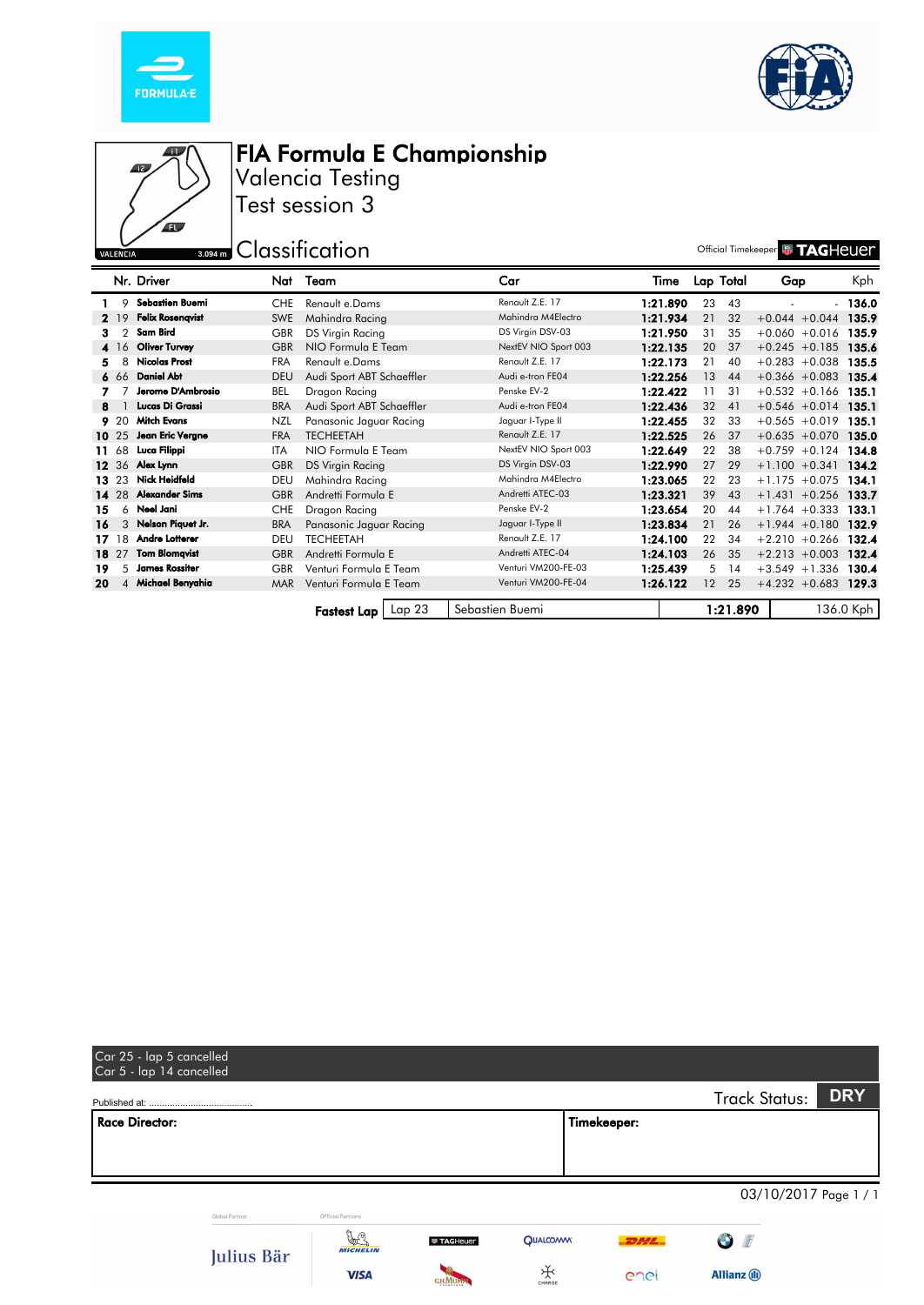





Valencia Testing Test session 3

3.094 m Classification **Classification C** 

|    |       | Nr. Driver              | Nat        | Team                         | Car                  | Time     |                 | Lap Total | Gap              | Kph       |
|----|-------|-------------------------|------------|------------------------------|----------------------|----------|-----------------|-----------|------------------|-----------|
|    | 9     | Sebastien Buemi         | <b>CHE</b> | Renault e.Dams               | Renault Z.E. 17      | 1:21.890 | 23              | 43        |                  | - 136.0   |
|    | 2, 19 | <b>Felix Rosenqvist</b> | <b>SWE</b> | Mahindra Racing              | Mahindra M4Electro   | 1:21.934 | 21              | 32        | $+0.044 + 0.044$ | 135.9     |
| з. |       | Sam Bird                | <b>GBR</b> | DS Virgin Racing             | DS Virgin DSV-03     | 1:21.950 | 31              | 35        | $+0.060 + 0.016$ | 135.9     |
|    | 4 16  | <b>Oliver Turvey</b>    | <b>GBR</b> | NIO Formula E Team           | NextEV NIO Sport 003 | 1:22.135 | 20              | 37        | $+0.245 +0.185$  | 135.6     |
| 5. | 8     | <b>Nicolas Prost</b>    | <b>FRA</b> | Renault e.Dams               | Renault Z.E. 17      | 1:22.173 | 21              | 40        | $+0.283 + 0.038$ | 135.5     |
|    | 6 66  | <b>Daniel Abt</b>       | <b>DEU</b> | Audi Sport ABT Schaeffler    | Audi e-tron FE04     | 1:22.256 | 13              | 44        | $+0.366 + 0.083$ | 135.4     |
|    |       | Jerome D'Ambrosio       | BEL        | Dragon Racing                | Penske EV-2          | 1:22.422 | 11              | 31        | $+0.532 +0.166$  | 135.1     |
| 8  |       | Lucas Di Grassi         | <b>BRA</b> | Audi Sport ABT Schaeffler    | Audi e-tron FE04     | 1:22.436 | 32              | 41        | $+0.546 + 0.014$ | 135.1     |
|    | 9,20  | <b>Mitch Evans</b>      | NZL        | Panasonic Jaguar Racing      | Jaguar I-Type II     | 1:22.455 | 32              | 33        | $+0.565 + 0.019$ | 135.1     |
|    | 10 25 | Jean Eric Vergne        | <b>FRA</b> | <b>TECHEETAH</b>             | Renault Z.E. 17      | 1:22.525 | 26              | 37        | $+0.635 + 0.070$ | 135.0     |
|    | 11 68 | Luca Filippi            | ITA        | NIO Formula E Team           | NextEV NIO Sport 003 | 1:22.649 | 22              | 38        | $+0.759 +0.124$  | 134.8     |
|    | 12 36 | Alex Lynn               | <b>GBR</b> | <b>DS Virgin Racing</b>      | DS Virgin DSV-03     | 1:22.990 | 27              | 29        | $+1.100 + 0.341$ | 134.2     |
|    | 13 23 | Nick Heidfeld           | <b>DEU</b> | Mahindra Racing              | Mahindra M4Electro   | 1:23.065 | 22              | 23        | $+1.175 + 0.075$ | 134.1     |
|    | 14 28 | <b>Alexander Sims</b>   | <b>GBR</b> | Andretti Formula E           | Andretti ATEC-03     | 1:23.321 | 39              | 43        | $+1.431 + 0.256$ | 133.7     |
| 15 | 6     | Neel Jani               | <b>CHE</b> | Dragon Racing                | Penske EV-2          | 1:23.654 | 20              | 44        | $+1.764 + 0.333$ | 133.1     |
| 16 | 3     | Nelson Piquet Jr.       | <b>BRA</b> | Panasonic Jaguar Racing      | Jaguar I-Type II     | 1:23.834 | 21              | 26        | $+1.944 + 0.180$ | 132.9     |
|    | 1718  | Andre Lotterer          | DEU        | <b>TECHEETAH</b>             | Renault Z.E. 17      | 1:24.100 | 22              | 34        | $+2.210 + 0.266$ | 132.4     |
|    | 18 27 | <b>Tom Blomavist</b>    | <b>GBR</b> | Andretti Formula E           | Andretti ATEC-04     | 1:24.103 | 26              | 35        | $+2.213 + 0.003$ | 132.4     |
| 19 | 5     | <b>James Rossiter</b>   | <b>GBR</b> | Venturi Formula E Team       | Venturi VM200-FE-03  | 1:25.439 | 5               | 14        | $+3.549 + 1.336$ | 130.4     |
| 20 |       | 4 Michael Benyahia      | <b>MAR</b> | Venturi Formula E Team       | Venturi VM200-FE-04  | 1:26.122 | 12 <sup>°</sup> | 25        | $+4.232 +0.683$  | 129.3     |
|    |       |                         |            | Lap 23<br><b>Fastest Lap</b> | Sebastien Buemi      |          |                 | 1:21.890  |                  | 136.0 Kph |

| Car 25 - lap 5 cancelled<br>Car 5 - lap 14 cancelled |                |                            |                 |                 |              |                         |                       |
|------------------------------------------------------|----------------|----------------------------|-----------------|-----------------|--------------|-------------------------|-----------------------|
|                                                      |                |                            |                 |                 |              | <b>Track Status:</b>    | <b>DRY</b>            |
| <b>Race Director:</b>                                |                |                            |                 |                 | Timekeeper:  |                         |                       |
|                                                      |                |                            |                 |                 |              |                         |                       |
|                                                      |                |                            |                 |                 |              |                         |                       |
|                                                      |                |                            |                 |                 |              |                         | 03/10/2017 Page 1 / 1 |
|                                                      | Global Partner | Official Partners          |                 |                 |              |                         |                       |
|                                                      | Julius Bär     | y.<br>Y<br><b>MICHELIN</b> | <b>TAGHeuer</b> | <b>QUALCOMM</b> | $-$ 2244 $-$ | $\bullet$<br>$\sqrt{t}$ |                       |
|                                                      |                | <b>VISA</b>                |                 | ₩<br>CHARGE     | enel         | <b>Allianz</b> (ii)     |                       |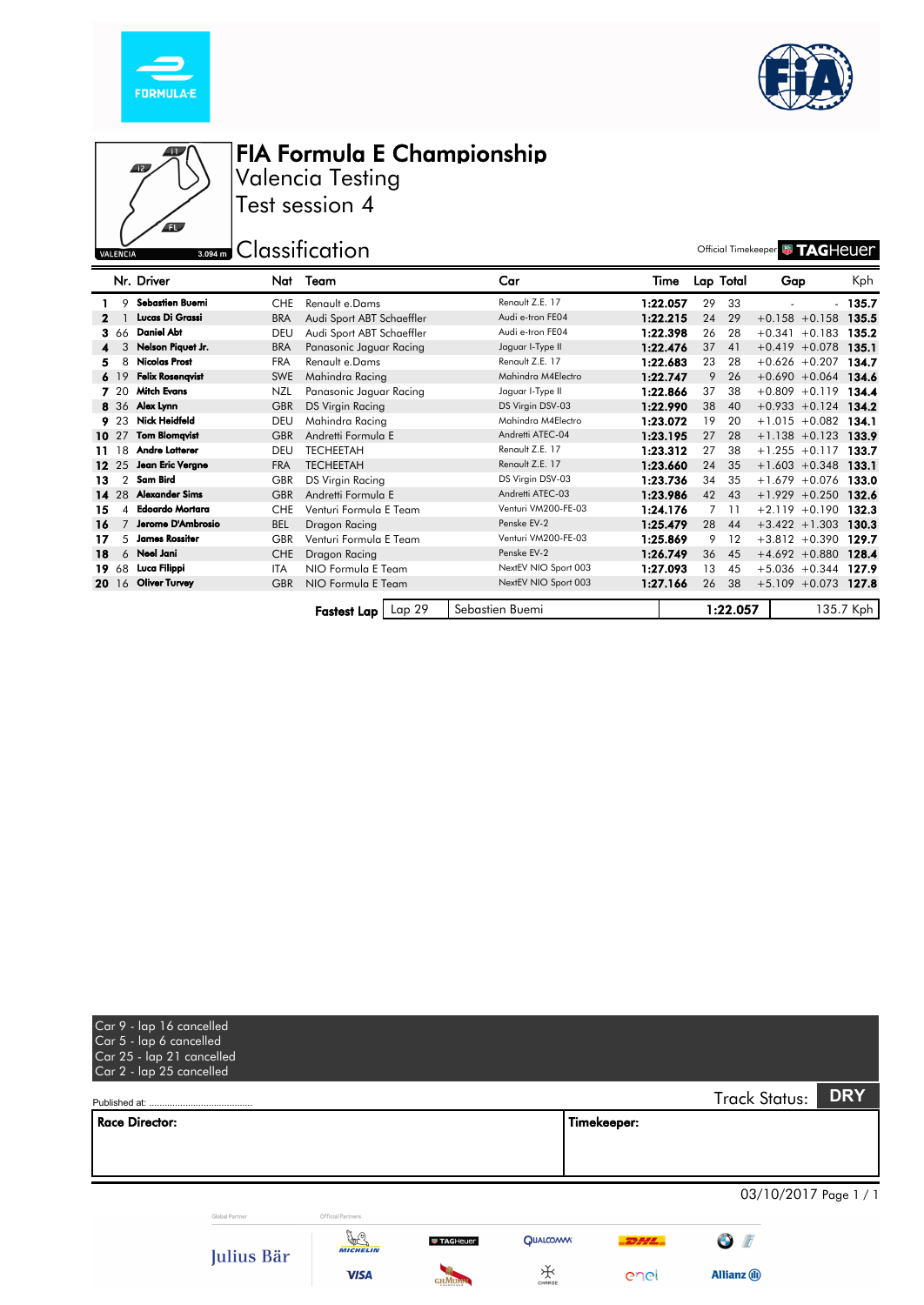





Valencia Testing Test session 4

3.094 m Classification **Container and Classification** 

|    |                | Nr. Driver              | Nat        | Team                      | Car                  | Time     |                | Lap Total | Gap              | Kph       |
|----|----------------|-------------------------|------------|---------------------------|----------------------|----------|----------------|-----------|------------------|-----------|
|    | 9              | Sebastien Buemi         | <b>CHE</b> | Renault e.Dams            | Renault Z.E. 17      | 1:22.057 | 29             | 33        |                  | $-135.7$  |
| 2  |                | Lucas Di Grassi         | <b>BRA</b> | Audi Sport ABT Schaeffler | Audi e-tron FE04     | 1:22.215 | 24             | 29        | $+0.158 + 0.158$ | 135.5     |
|    | 3 66           | <b>Daniel Abt</b>       | DEU        | Audi Sport ABT Schaeffler | Audi e-tron FE04     | 1:22.398 | 26             | 28        | $+0.341 + 0.183$ | 135.2     |
|    | 3              | Nelson Piquet Jr.       | <b>BRA</b> | Panasonic Jaguar Racing   | Jaguar I-Type II     | 1:22.476 | 37             | 41        | $+0.419 + 0.078$ | 135.1     |
| 5. | 8              | <b>Nicolas Prost</b>    | <b>FRA</b> | Renault e.Dams            | Renault Z.E. 17      | 1:22.683 | 23             | 28        | $+0.626 +0.207$  | 134.7     |
|    | 6, 19          | <b>Felix Rosenqvist</b> | <b>SWE</b> | Mahindra Racing           | Mahindra M4Electro   | 1:22.747 | 9              | 26        | $+0.690 + 0.064$ | 134.6     |
|    | 7 20           | <b>Mitch Evans</b>      | <b>NZL</b> | Panasonic Jaguar Racing   | Jaguar I-Type II     | 1:22.866 | 37             | 38        | $+0.809 + 0.119$ | 134.4     |
|    |                | 8 36 Alex Lynn          | <b>GBR</b> | <b>DS Virgin Racing</b>   | DS Virgin DSV-03     | 1:22.990 | 38             | 40        | $+0.933 +0.124$  | 134.2     |
|    | 9 23           | <b>Nick Heidfeld</b>    | DEU        | Mahindra Racing           | Mahindra M4Electro   | 1:23.072 | 19             | 20        | $+1.015 + 0.082$ | 134.1     |
|    | 10 27          | <b>Tom Blomqvist</b>    | <b>GBR</b> | Andretti Formula E        | Andretti ATEC-04     | 1:23.195 | 27             | 28        | $+1.138 + 0.123$ | 133.9     |
|    | 11 18          | Andre Lotterer          | DEU        | <b>TECHEETAH</b>          | Renault Z.E. 17      | 1:23.312 | 27             | 38        | $+1.255 +0.117$  | 133.7     |
|    | 12 25          | Jean Eric Vergne        | <b>FRA</b> | <b>TECHEETAH</b>          | Renault Z.E. 17      | 1:23.660 | 24             | 35        | $+1.603 + 0.348$ | 133.1     |
| 13 | $\overline{2}$ | Sam Bird                | <b>GBR</b> | <b>DS Virgin Racing</b>   | DS Virgin DSV-03     | 1:23.736 | 34             | 35        | $+1.679 + 0.076$ | 133.0     |
|    | 14 28          | <b>Alexander Sims</b>   | <b>GBR</b> | Andretti Formula E        | Andretti ATEC-03     | 1:23.986 | 42             | 43        | $+1.929 +0.250$  | 132.6     |
| 15 | Δ              | <b>Edoardo Mortara</b>  | <b>CHE</b> | Venturi Formula E Team    | Venturi VM200-FE-03  | 1:24.176 | $\overline{7}$ | 11        | $+2.119 + 0.190$ | 132.3     |
| 16 |                | Jerome D'Ambrosio       | <b>BEL</b> | Dragon Racing             | Penske EV-2          | 1:25.479 | 28             | 44        | $+3.422 + 1.303$ | 130.3     |
| 17 | 5              | <b>James Rossiter</b>   | <b>GBR</b> | Venturi Formula E Team    | Venturi VM200-FE-03  | 1:25.869 | 9              | $12 \,$   | $+3.812 +0.390$  | 129.7     |
| 18 |                | 6 Neel Jani             | <b>CHE</b> | Dragon Racing             | Penske EV-2          | 1:26.749 | 36             | 45        | $+4.692 +0.880$  | 128.4     |
|    | 1968           | Luca Filippi            | <b>ITA</b> | NIO Formula E Team        | NextEV NIO Sport 003 | 1:27.093 | 13             | 45        | $+5.036 + 0.344$ | 127.9     |
|    | 20 16          | <b>Oliver Turvey</b>    | <b>GBR</b> | NIO Formula E Team        | NextEV NIO Sport 003 | 1:27.166 | 26             | 38        | $+5.109$ +0.073  | 127.8     |
|    |                |                         |            | Lap 29<br>Fastest Lap     | Sebastien Buemi      |          |                | 1:22.057  |                  | 135.7 Kph |

| Car 9 - lap 16 cancelled<br>Car 5 - lap 6 cancelled<br>Car 25 - lap 21 cancelled<br>Car 2 - lap 25 cancelled |                |                       |                 |                 |             |                             |            |
|--------------------------------------------------------------------------------------------------------------|----------------|-----------------------|-----------------|-----------------|-------------|-----------------------------|------------|
|                                                                                                              |                |                       |                 |                 |             | <b>Track Status:</b>        | <b>DRY</b> |
| <b>Race Director:</b>                                                                                        |                |                       |                 |                 | Timekeeper: |                             |            |
|                                                                                                              |                |                       |                 |                 |             |                             |            |
|                                                                                                              | Global Partner | Official Partners     |                 |                 |             | 03/10/2017 Page 1 / 1       |            |
|                                                                                                              | Julius Bär     | y.<br><b>MICHELIN</b> | <b>TAGHeuer</b> | <b>QUALCOMM</b> | DHL.        | $\bigodot$<br>$\sqrt{\ell}$ |            |
|                                                                                                              |                | <b>VISA</b>           | си Мпмм         | ₩               | enel        | <b>Allianz</b> (ii)         |            |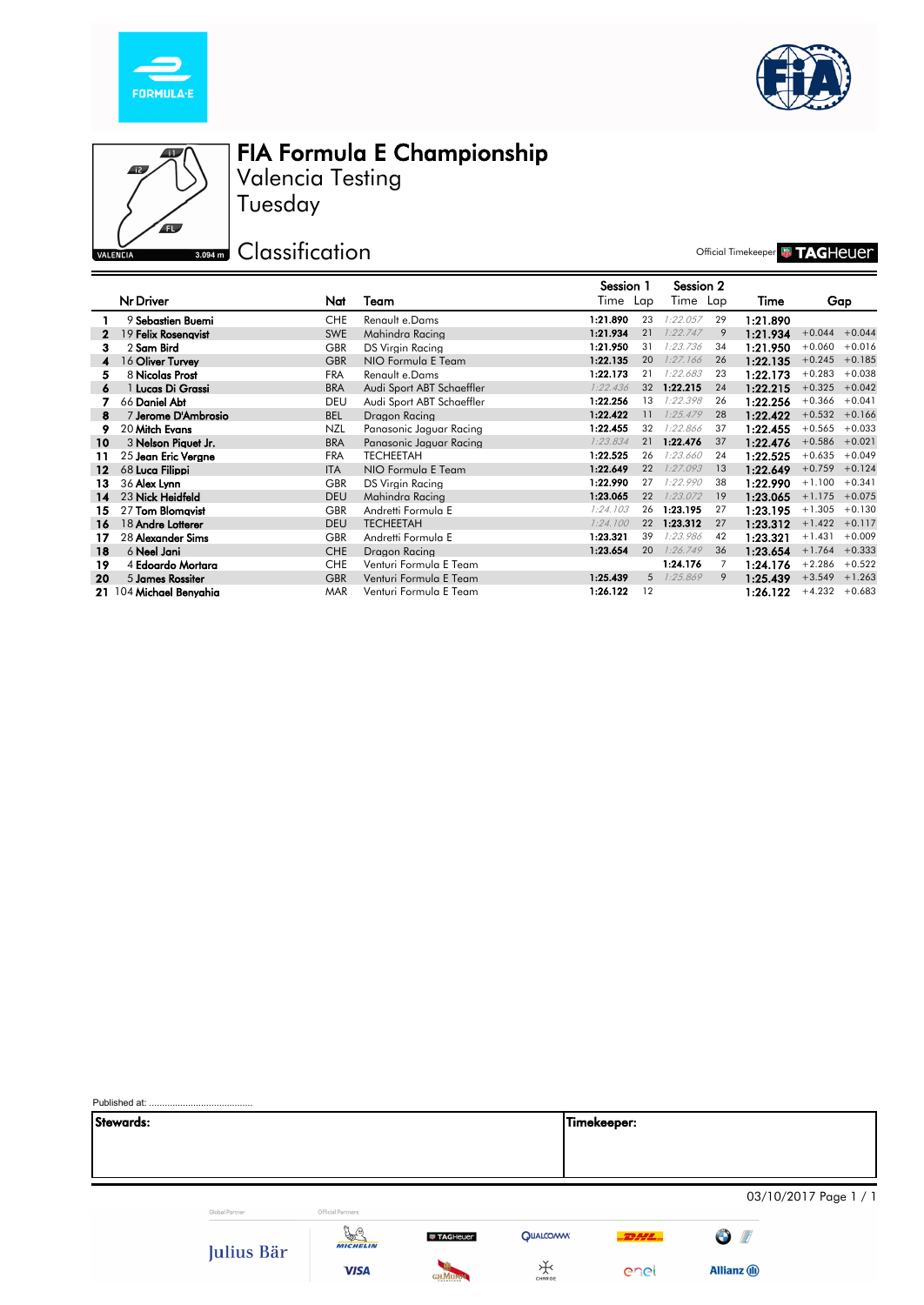





Tuesday Valencia Testing

**S.094m** Classification

Official Timekeeper **& TAGHEUE** 

|    |                         |            |                           | Session 1 |             | Session 2 |    |          |                  |          |
|----|-------------------------|------------|---------------------------|-----------|-------------|-----------|----|----------|------------------|----------|
|    | Nr Driver               | Nat        | Team                      | Time Lap  |             | Time Lap  |    | Time     | Gap              |          |
|    | 9 Sebastien Buemi       | <b>CHE</b> | Renault e.Dams            | 1:21.890  | 23          | 1:22.057  | 29 | 1:21.890 |                  |          |
|    | 19 Felix Rosenavist     | <b>SWE</b> | Mahindra Racina           | 1:21.934  | 21          | 1:22.747  | 9  | 1:21.934 | $+0.044 + 0.044$ |          |
| з. | 2 Sam Bird              | <b>GBR</b> | DS Virgin Racing          | 1:21.950  | 31          | 1:23.736  | 34 | 1:21.950 | $+0.060$         | $+0.016$ |
| 4  | 16 Oliver Turvey        | <b>GBR</b> | NIO Formula E Team        | 1:22.135  | 20          | 1:27.166  | 26 | 1:22.135 | $+0.245 +0.185$  |          |
| 5  | 8 Nicolas Prost         | <b>FRA</b> | Renault e.Dams            | 1:22.173  | 21          | 1:22.683  | 23 | 1:22.173 | $+0.283$         | $+0.038$ |
| 6  | 1 Lucas Di Grassi       | <b>BRA</b> | Audi Sport ABT Schaeffler | 1:22.436  | 32          | 1:22.215  | 24 | 1:22.215 | $+0.325 +0.042$  |          |
|    | 66 Daniel Abt           | <b>DEU</b> | Audi Sport ABT Schaeffler | 1:22.256  | 13          | 1:22.398  | 26 | 1:22.256 | $+0.366 +0.041$  |          |
| 8  | 7 Jerome D'Ambrosio     | <b>BEL</b> | Dragon Racina             | 1:22.422  | 11          | 1:25.479  | 28 | 1:22.422 | $+0.532 +0.166$  |          |
| 9  | 20 Mitch Evans          | NZL        | Panasonic Jaguar Racing   | 1:22.455  | 32          | 1:22.866  | 37 | 1:22.455 | $+0.565 + 0.033$ |          |
| 10 | 3 Nelson Piquet Jr.     | <b>BRA</b> | Panasonic Jaguar Racing   | 1:23.834  | 21          | 1:22.476  | 37 | 1:22.476 | $+0.586 + 0.021$ |          |
| 11 | 25 Jean Eric Verane     | <b>FRA</b> | <b>TECHEETAH</b>          | 1:22.525  | 26          | 1:23.660  | 24 | 1:22.525 | $+0.635 + 0.049$ |          |
| 12 | 68 Luca Filippi         | <b>ITA</b> | NIO Formula E Team        | 1:22.649  | 22          | 1:27.093  | 13 | 1:22.649 | $+0.759 +0.124$  |          |
| 13 | 36 Alex Lynn            | <b>GBR</b> | <b>DS Virgin Racing</b>   | 1:22.990  | 27          | 1:22.990  | 38 | 1:22.990 | $+1.100$         | $+0.341$ |
| 14 | 23 Nick Heidfeld        | <b>DEU</b> | Mahindra Racina           | 1:23.065  | 22          | 1:23.072  | 19 | 1:23.065 | $+1.175 + 0.075$ |          |
| 15 | 27 Tom Blomavist        | <b>GBR</b> | Andretti Formula E        | 1:24.103  | 26          | 1:23.195  | 27 | 1:23.195 | $+1.305 +0.130$  |          |
| 16 | 18 Andre Lotterer       | <b>DEU</b> | <b>TECHEETAH</b>          | 1:24.100  | 22          | 1:23.312  | 27 | 1:23.312 | $+1.422 +0.117$  |          |
| 17 | 28 Alexander Sims       | <b>GBR</b> | Andretti Formula E        | 1:23.321  | 39          | 1:23.986  | 42 | 1:23.321 | $+1.431$         | $+0.009$ |
| 18 | 6 Neel Jani             | <b>CHE</b> | Dragon Racing             | 1:23.654  | 20          | 1:26.749  | 36 | 1:23.654 | $+1.764 + 0.333$ |          |
| 19 | 4 Edoardo Mortara       | <b>CHE</b> | Venturi Formula E Team    |           |             | 1:24.176  | 7  | 1:24.176 | $+2.286$         | $+0.522$ |
| 20 | 5 James Rossiter        | <b>GBR</b> | Venturi Formula E Team    | 1:25.439  | $5^{\circ}$ | 1:25.869  | 9  | 1:25.439 | $+3.549$         | $+1.263$ |
|    | 21 104 Michael Benvahia | <b>MAR</b> | Venturi Formula E Team    | 1:26.122  | 12          |           |    | 1:26.122 | $+4.232 +0.683$  |          |

| Stewards: |                |                                  |                 |                 | Timekeeper: |                         |                       |
|-----------|----------------|----------------------------------|-----------------|-----------------|-------------|-------------------------|-----------------------|
|           |                |                                  |                 |                 |             |                         |                       |
|           |                |                                  |                 |                 |             |                         |                       |
|           |                |                                  |                 |                 |             |                         |                       |
|           | Global Partner | Official Partners                |                 |                 |             |                         | 03/10/2017 Page 1 / 1 |
|           |                |                                  |                 |                 |             |                         |                       |
|           |                | $\frac{1}{2}$<br><b>MICHELIN</b> | <b>TAGHeuer</b> | <b>QUALCOMM</b> | $-2244$     | $\bullet$<br>$\sqrt{t}$ |                       |
|           | Julius Bär     |                                  |                 | ₩               |             |                         |                       |
|           |                | <b>VISA</b>                      | <b>GHMUM</b>    | CHARGE          | enel        | <b>Allianz</b> (ii)     |                       |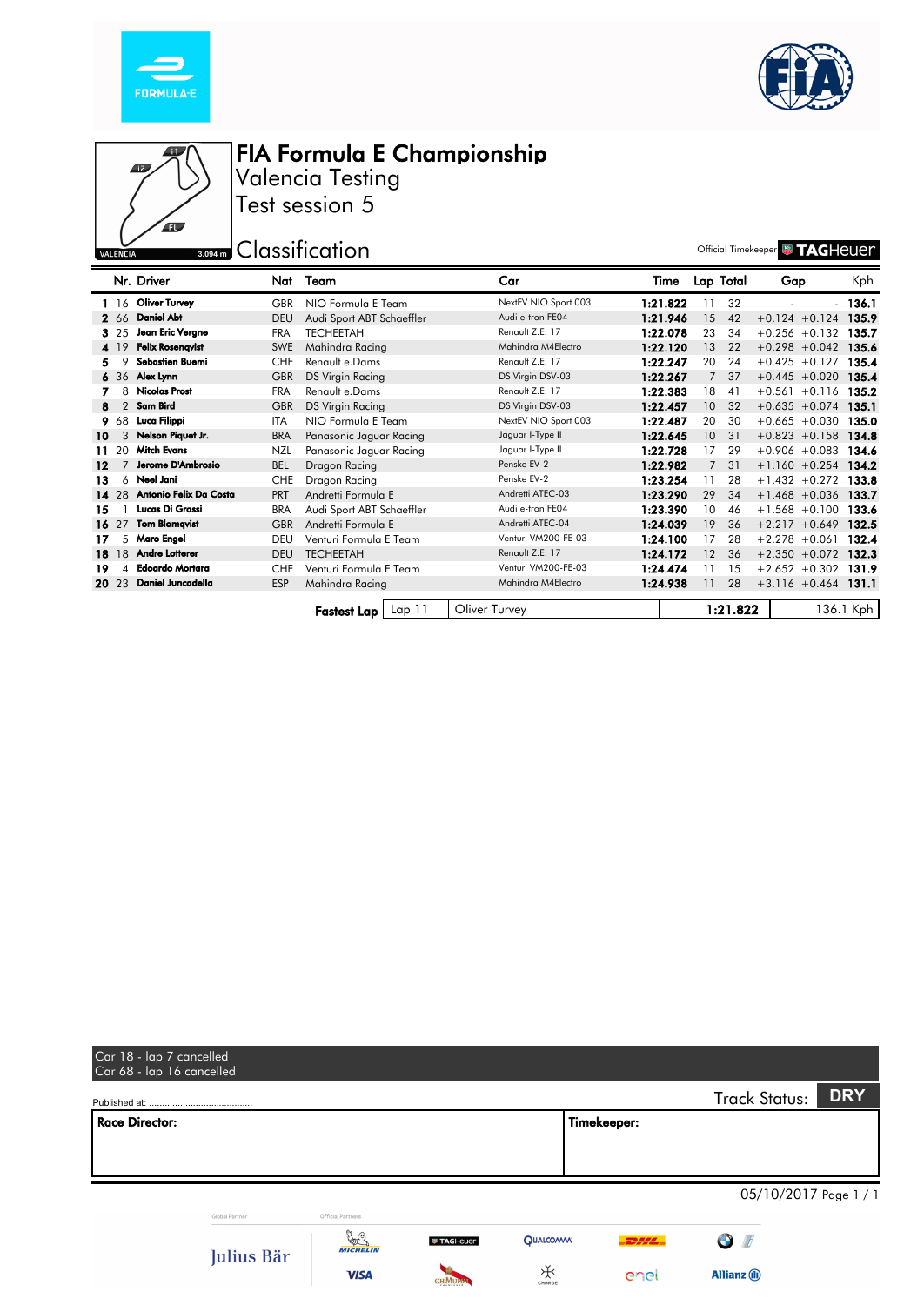





Valencia Testing Test session 5

# **Example 12 Classification** Classification **Classification**

|    |       | Nr. Driver               | Nat        | Team                      | Car                  | Time     |                 | Lap Total | Gap                    | Kph       |
|----|-------|--------------------------|------------|---------------------------|----------------------|----------|-----------------|-----------|------------------------|-----------|
|    |       | 1 16 Oliver Turvey       | <b>GBR</b> | NIO Formula E Team        | NextEV NIO Sport 003 | 1:21.822 | 11              | 32        |                        | - 136.1   |
|    | 2 66  | <b>Daniel Abt</b>        | <b>DEU</b> | Audi Sport ABT Schaeffler | Audi e-tron FE04     | 1:21.946 | 15              | 42        | $+0.124 + 0.124$       | 135.9     |
|    | 3 25  | Jean Eric Vergne         | <b>FRA</b> | <b>TECHEETAH</b>          | Renault Z.E. 17      | 1:22.078 | 23              | 34        | $+0.256 +0.132$        | 135.7     |
|    | 4 19  | <b>Felix Rosengvist</b>  | <b>SWE</b> | Mahindra Racing           | Mahindra M4Electro   | 1:22.120 | 13              | 22        | $+0.298 + 0.042$       | 135.6     |
|    | 9     | Sebastien Buemi          | <b>CHE</b> | Renault e.Dams            | Renault Z.E. 17      | 1:22.247 | 20              | 24        | $+0.425 +0.127$        | 135.4     |
|    |       | $636$ Alex Lynn          | <b>GBR</b> | <b>DS Virgin Racing</b>   | DS Virgin DSV-03     | 1:22.267 | $7^{\circ}$     | 37        | $+0.445 + 0.020$       | 135.4     |
|    | 8     | <b>Nicolas Prost</b>     | <b>FRA</b> | Renault e.Dams            | Renault Z.E. 17      | 1:22.383 | 18              | 41        | $+0.561 + 0.116$       | 135.2     |
| 8  |       | 2 Sam Bird               | <b>GBR</b> | <b>DS Virgin Racing</b>   | DS Virgin DSV-03     | 1:22.457 | 10 <sup>°</sup> | 32        | $+0.635 + 0.074$       | 135.1     |
|    | 9 68  | Luca Filippi             | <b>ITA</b> | NIO Formula E Team        | NextEV NIO Sport 003 | 1:22.487 | 20              | 30        | $+0.665 + 0.030$       | 135.0     |
| 10 | 3     | Nelson Piquet Jr.        | <b>BRA</b> | Panasonic Jaguar Racing   | Jaguar I-Type II     | 1:22.645 | 10 <sup>°</sup> | 31        | $+0.823 +0.158$        | 134.8     |
|    | 11 20 | <b>Mitch Evans</b>       | NZL        | Panasonic Jaguar Racing   | Jaguar I-Type II     | 1:22.728 | 17              | 29        | $+0.906 + 0.083$       | 134.6     |
| 12 |       | Jerome D'Ambrosio        | <b>BEL</b> | Dragon Racing             | Penske EV-2          | 1:22.982 | $7^{\circ}$     | 31        | $+1.160 + 0.254$       | 134.2     |
| 13 |       | 6 Neel Jani              | <b>CHE</b> | Dragon Racing             | Penske EV-2          | 1:23.254 | 11              | 28        | $+1.432 +0.272$        | 133.8     |
|    | 14 28 | Antonio Felix Da Costa   | <b>PRT</b> | Andretti Formula E        | Andretti ATEC-03     | 1:23.290 | 29              | 34        | $+1.468 + 0.036$       | 133.7     |
| 15 |       | <b>Lucas Di Grassi</b>   | <b>BRA</b> | Audi Sport ABT Schaeffler | Audi e-tron FE04     | 1:23.390 | 10              | 46        | $+1.568 + 0.100$       | 133.6     |
|    | 16 27 | <b>Tom Blomqvist</b>     | <b>GBR</b> | Andretti Formula E        | Andretti ATEC-04     | 1:24.039 | 19              | 36        | $+2.217 + 0.649$       | 132.5     |
| 17 | 5     | Maro Engel               | DEU        | Venturi Formula E Team    | Venturi VM200-FE-03  | 1:24.100 | 17              | 28        | $+2.278 + 0.061$       | 132.4     |
|    |       | 18 18 Andre Lotterer     | <b>DEU</b> | <b>TECHEETAH</b>          | Renault Z.E. 17      | 1:24.172 | 12              | 36        | $+2.350 + 0.072$       | 132.3     |
| 19 |       | 4 Edoardo Mortara        | <b>CHE</b> | Venturi Formula E Team    | Venturi VM200-FE-03  | 1:24.474 | 11              | 15        | $+2.652 +0.302$        | 131.9     |
|    | 20 23 | <b>Daniel Juncadella</b> | <b>ESP</b> | Mahindra Racing           | Mahindra M4Electro   | 1:24.938 | 11              | 28        | $+3.116 + 0.464$ 131.1 |           |
|    |       |                          |            |                           |                      |          |                 |           |                        |           |
|    |       |                          |            | Lap 11<br>Fastest Lap     | Oliver Turvey        |          |                 | 1:21.822  |                        | 136.1 Kph |

| Car 18 - lap 7 cancelled<br>Car 68 - lap 16 cancelled |                         |                   |                 |              |                      |                       |
|-------------------------------------------------------|-------------------------|-------------------|-----------------|--------------|----------------------|-----------------------|
|                                                       |                         |                   |                 |              | <b>Track Status:</b> | <b>DRY</b>            |
| <b>Race Director:</b>                                 |                         |                   |                 | Timekeeper:  |                      |                       |
|                                                       |                         |                   |                 |              |                      |                       |
|                                                       |                         |                   |                 |              |                      | 05/10/2017 Page 1 / 1 |
| Global Partner                                        | Official Partners<br>y. |                   |                 |              |                      |                       |
| Julius Bär                                            | <b>MICHELIN</b>         | <b>W TAGHeuer</b> | <b>QUALCOMM</b> | $-$ 2244 $-$ | $\bigcirc$ $\beta$   |                       |
|                                                       | <b>VISA</b>             | <b>GHMUN</b><br>  | ₩<br>CHARGE     | enel         | <b>Allianz</b> (ii)  |                       |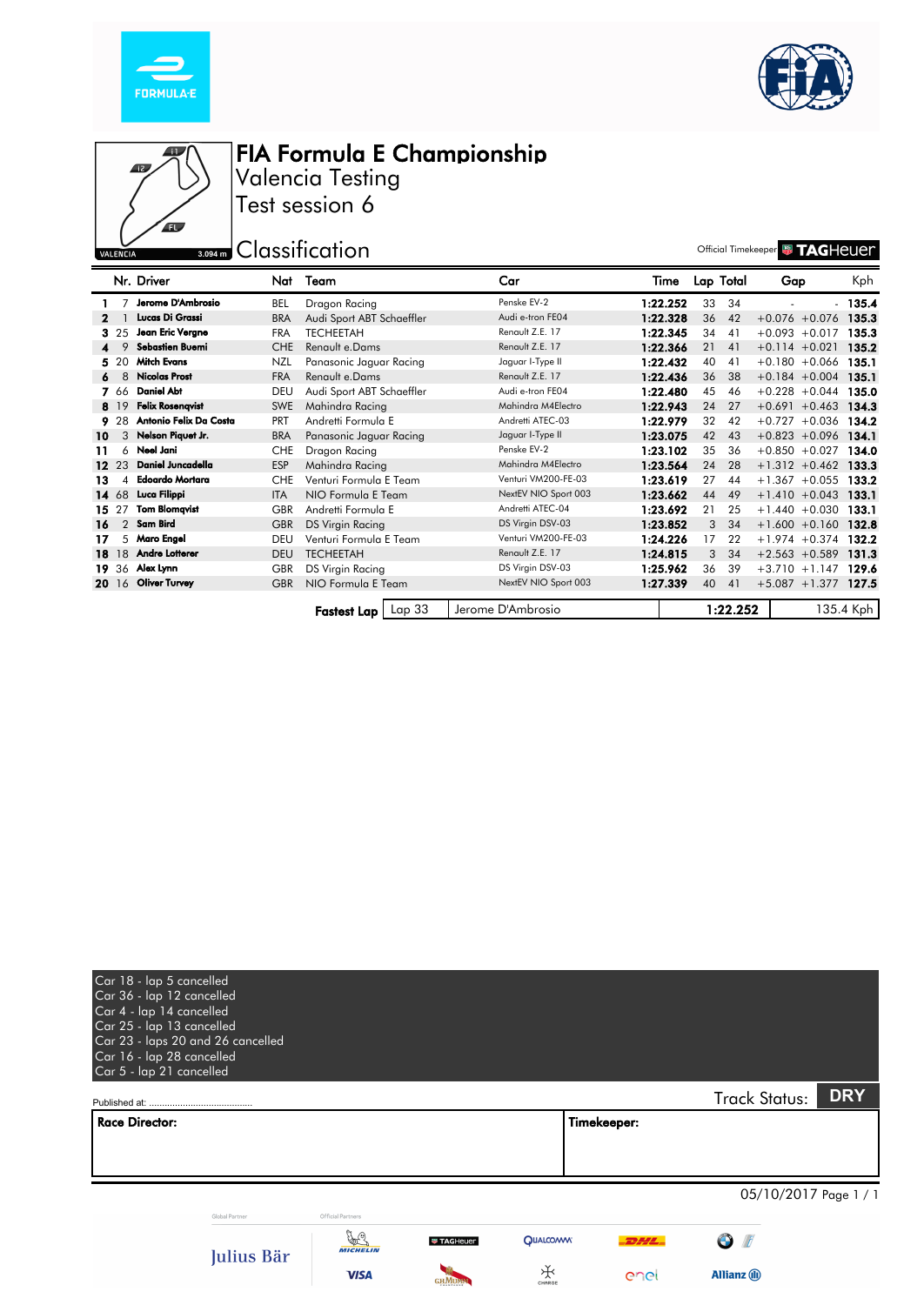





Valencia Testing Test session 6

**Example 12 Solution** Official Timekeeper **WITAGHEUET** 

|                 |                | Nr. Driver              | Nat                                                                | Team                      | Car                  | Time     |    | Lap Total | Gap                    | Kph      |
|-----------------|----------------|-------------------------|--------------------------------------------------------------------|---------------------------|----------------------|----------|----|-----------|------------------------|----------|
|                 |                | Jerome D'Ambrosio       | BEL                                                                | Dragon Racing             | Penske EV-2          | 1:22.252 | 33 | 34        |                        | $-135.4$ |
|                 |                | Lucas Di Grassi         | <b>BRA</b>                                                         | Audi Sport ABT Schaeffler | Audi e-tron FE04     | 1:22.328 | 36 | 42        | $+0.076 + 0.076$       | 135.3    |
|                 | 3 25           | Jean Eric Vergne        | <b>FRA</b>                                                         | <b>TECHEETAH</b>          | Renault Z.E. 17      | 1:22.345 | 34 | 41        | $+0.093 +0.017$        | 135.3    |
|                 |                | <b>Sebastien Buemi</b>  | <b>CHE</b>                                                         | Renault e.Dams            | Renault Z.E. 17      | 1:22.366 | 21 | 41        | $+0.114 + 0.021$       | 135.2    |
|                 | 5 20           | <b>Mitch Evans</b>      | <b>NZL</b>                                                         | Panasonic Jaguar Racing   | Jaguar I-Type II     | 1:22.432 | 40 | 41        | $+0.180 + 0.066$       | 135.1    |
| 6.              | 8              | <b>Nicolas Prost</b>    | <b>FRA</b>                                                         | Renault e.Dams            | Renault Z.E. 17      | 1:22.436 | 36 | 38        | $+0.184 + 0.004$       | 135.1    |
|                 | 7 66           | <b>Daniel Abr</b>       | DEU                                                                | Audi Sport ABT Schaeffler | Audi e-tron FE04     | 1:22.480 | 45 | 46        | $+0.228 + 0.044$       | 135.0    |
|                 | 8 19           | <b>Felix Rosenqvist</b> | <b>SWE</b>                                                         | Mahindra Racing           | Mahindra M4Electro   | 1:22.943 | 24 | 27        | $+0.691 + 0.463$       | 134.3    |
|                 | 9 28           | Antonio Felix Da Costa  | <b>PRT</b>                                                         | Andretti Formula E        | Andretti ATEC-03     | 1:22.979 | 32 | 42        | $+0.727 +0.036$        | 134.2    |
| 10              | 3              | Nelson Piquet Jr.       | <b>BRA</b>                                                         | Panasonic Jaguar Racing   | Jaguar I-Type II     | 1:23.075 | 42 | 43        | $+0.823 + 0.096$       | 134.1    |
| 11              |                | 6 Neel Jani             | <b>CHE</b>                                                         | Dragon Racing             | Penske EV-2          | 1:23.102 | 35 | 36        | $+0.850 + 0.027$ 134.0 |          |
| 12 <sup>2</sup> | 23             | Daniel Juncadella       | <b>ESP</b>                                                         | Mahindra Racing           | Mahindra M4Electro   | 1:23.564 | 24 | 28        | $+1.312 + 0.462$       | 133.3    |
| 13              | 4              | <b>Edoardo Mortara</b>  | <b>CHE</b>                                                         | Venturi Formula E Team    | Venturi VM200-FE-03  | 1:23.619 | 27 | 44        | $+1.367 +0.055$        | 133.2    |
|                 | 14 68          | Luca Filippi            | <b>ITA</b>                                                         | NIO Formula E Team        | NextEV NIO Sport 003 | 1:23.662 | 44 | 49        | $+1.410 + 0.043$       | 133.1    |
| 15              | 27             | <b>Tom Blomqvist</b>    | <b>GBR</b>                                                         | Andretti Formula E        | Andretti ATEC-04     | 1:23.692 | 21 | 25        | $+1.440 + 0.030$       | 133.1    |
| 16              | $\overline{2}$ | Sam Bird                | <b>GBR</b>                                                         | DS Virgin Racing          | DS Virgin DSV-03     | 1:23.852 | 3  | 34        | $+1.600 + 0.160$       | 132.8    |
| 17              |                | 5 Maro Engel            | DEU                                                                | Venturi Formula E Team    | Venturi VM200-FE-03  | 1:24.226 | 17 | 22        | $+1.974 + 0.374$       | 132.2    |
|                 |                | 18 18 Andre Lotterer    | <b>DEU</b>                                                         | <b>TECHEETAH</b>          | Renault Z.E. 17      | 1:24.815 | 3  | 34        | $+2.563 +0.589$        | -131.3   |
|                 | 19 36          | Alex Lynn               | <b>GBR</b>                                                         | DS Virgin Racing          | DS Virgin DSV-03     | 1:25.962 | 36 | 39        | $+3.710 + 1.147$       | 129.6    |
|                 | 20 16          | <b>Oliver Turvey</b>    | <b>GBR</b>                                                         | NIO Formula E Team        | NextEV NIO Sport 003 | 1:27.339 | 40 | 41        | $+5.087 + 1.377$ 127.5 |          |
|                 |                |                         |                                                                    |                           |                      |          |    |           |                        |          |
|                 |                |                         | 1:22.252<br>Lap33<br>Jerome D'Ambrosio<br>135.4 Kph<br>Fastest Lap |                           |                      |          |    |           |                        |          |

| Car 18 - lap 5 cancelled<br>Car 36 - lap 12 cancelled<br>Car 4 - lap 14 cancelled<br>Car 25 - lap 13 cancelled<br>Car 23 - laps 20 and 26 cancelled<br>Car 16 - lap 28 cancelled<br>Car 5 - lap 21 cancelled |                |                                       |                             |                      |                    |                                                       |                       |
|--------------------------------------------------------------------------------------------------------------------------------------------------------------------------------------------------------------|----------------|---------------------------------------|-----------------------------|----------------------|--------------------|-------------------------------------------------------|-----------------------|
|                                                                                                                                                                                                              |                |                                       |                             |                      |                    | <b>Track Status:</b>                                  | <b>DRY</b>            |
| <b>Race Director:</b>                                                                                                                                                                                        |                |                                       |                             |                      | Timekeeper:        |                                                       |                       |
|                                                                                                                                                                                                              | Global Partner | Official Partners                     |                             |                      |                    |                                                       | 05/10/2017 Page 1 / 1 |
|                                                                                                                                                                                                              | Julius Bär     | y.C<br><b>MICHELIN</b><br><b>VISA</b> | <b>W TAGHeuer</b><br>си Мпм | <b>QUALCOMM</b><br>₩ | <b>DHL</b><br>enel | $\sqrt{t}$<br>$\mathbf \Theta$<br><b>Allianz</b> (ii) |                       |